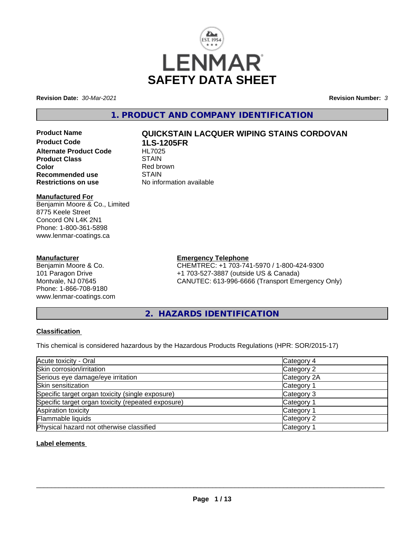

**Revision Date:** *30-Mar-2021* **Revision Number:** *3*

**1. PRODUCT AND COMPANY IDENTIFICATION**

**Product Code 1LS-1205FR Alternate Product Code HL7025**<br>Product Class STAIN **Product Class Color**<br> **Recommended use**<br> **COLORER STAIN Recommended use**<br>Restrictions on use

# **Product Name QUICKSTAIN LACQUER WIPING STAINS CORDOVAN**

**No information available** 

### **Manufactured For**

Benjamin Moore & Co., Limited 8775 Keele Street Concord ON L4K 2N1 Phone: 1-800-361-5898 www.lenmar-coatings.ca

### **Manufacturer**

Benjamin Moore & Co. 101 Paragon Drive Montvale, NJ 07645 Phone: 1-866-708-9180 www.lenmar-coatings.com

# **Emergency Telephone**

CHEMTREC: +1 703-741-5970 / 1-800-424-9300 +1 703-527-3887 (outside US & Canada) CANUTEC: 613-996-6666 (Transport Emergency Only)

**2. HAZARDS IDENTIFICATION**

# **Classification**

This chemical is considered hazardous by the Hazardous Products Regulations (HPR: SOR/2015-17)

| Acute toxicity - Oral                              | Category 4            |  |
|----------------------------------------------------|-----------------------|--|
| Skin corrosion/irritation                          | Category 2            |  |
| Serious eye damage/eye irritation                  | Category 2A           |  |
| Skin sensitization                                 | Category 1            |  |
| Specific target organ toxicity (single exposure)   | Category 3            |  |
| Specific target organ toxicity (repeated exposure) | Category 1            |  |
| Aspiration toxicity                                | Category 1            |  |
| Flammable liquids                                  | Category 2            |  |
| Physical hazard not otherwise classified           | Category <sup>-</sup> |  |

# **Label elements**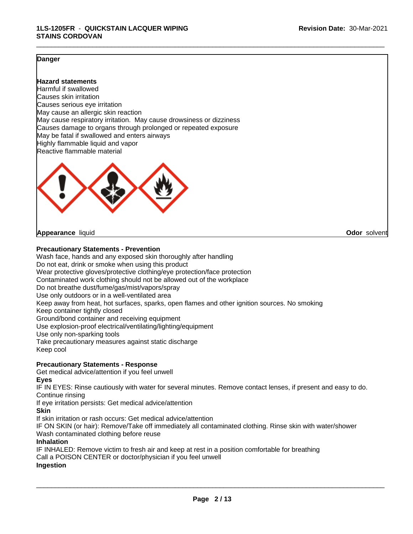# **Danger**

### **Hazard statements**

Harmful if swallowed Causes skin irritation Causes serious eye irritation May cause an allergic skin reaction May cause respiratory irritation. May cause drowsiness or dizziness Causes damage to organs through prolonged or repeated exposure May be fatal if swallowed and enters airways Highly flammable liquid and vapor Reactive flammable material



#### **Appearance** liquid **Odor** solvent

**Precautionary Statements - Prevention**

Wash face, hands and any exposed skin thoroughly after handling Do not eat, drink or smoke when using this product Wear protective gloves/protective clothing/eye protection/face protection Contaminated work clothing should not be allowed out of the workplace Do not breathe dust/fume/gas/mist/vapors/spray Use only outdoors or in a well-ventilated area Keep away from heat, hot surfaces, sparks, open flames and other ignition sources. No smoking Keep container tightly closed Ground/bond container and receiving equipment Use explosion-proof electrical/ventilating/lighting/equipment Use only non-sparking tools Take precautionary measures against static discharge Keep cool **Precautionary Statements - Response** Get medical advice/attention if you feel unwell

#### **Eyes**

IF IN EYES: Rinse cautiously with water for several minutes. Remove contact lenses, if present and easy to do. Continue rinsing

If eye irritation persists: Get medical advice/attention

#### **Skin**

If skin irritation or rash occurs: Get medical advice/attention

IF ON SKIN (or hair): Remove/Take off immediately all contaminated clothing. Rinse skin with water/shower Wash contaminated clothing before reuse

#### **Inhalation**

IF INHALED: Remove victim to fresh air and keep at rest in a position comfortable for breathing

Call a POISON CENTER or doctor/physician if you feel unwell

#### **Ingestion**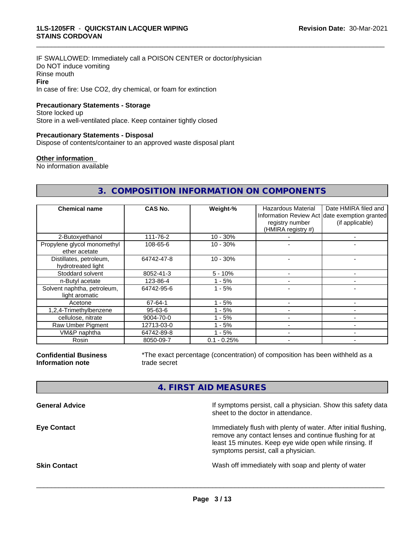IF SWALLOWED: Immediately call a POISON CENTER or doctor/physician Do NOT induce vomiting Rinse mouth **Fire** In case of fire: Use CO2, dry chemical, or foam for extinction

#### **Precautionary Statements - Storage**

Store locked up Store in a well-ventilated place. Keep container tightly closed

### **Precautionary Statements - Disposal**

Dispose of contents/container to an approved waste disposal plant

#### **Other information**

No information available

# **3. COMPOSITION INFORMATION ON COMPONENTS**

\_\_\_\_\_\_\_\_\_\_\_\_\_\_\_\_\_\_\_\_\_\_\_\_\_\_\_\_\_\_\_\_\_\_\_\_\_\_\_\_\_\_\_\_\_\_\_\_\_\_\_\_\_\_\_\_\_\_\_\_\_\_\_\_\_\_\_\_\_\_\_\_\_\_\_\_\_\_\_\_\_\_\_\_\_\_\_\_\_\_\_\_\_

| <b>Chemical name</b>                          | CAS No.       | Weight-%      | <b>Hazardous Material</b><br>registry number<br>(HMIRA registry #) | Date HMIRA filed and<br>Information Review Act date exemption granted<br>(if applicable) |
|-----------------------------------------------|---------------|---------------|--------------------------------------------------------------------|------------------------------------------------------------------------------------------|
| 2-Butoxyethanol                               | 111-76-2      | $10 - 30%$    |                                                                    |                                                                                          |
| Propylene glycol monomethyl<br>ether acetate  | 108-65-6      | $10 - 30%$    |                                                                    |                                                                                          |
| Distillates, petroleum,<br>hydrotreated light | 64742-47-8    | $10 - 30%$    |                                                                    |                                                                                          |
| Stoddard solvent                              | 8052-41-3     | $5 - 10%$     |                                                                    |                                                                                          |
| n-Butyl acetate                               | 123-86-4      | $1 - 5%$      |                                                                    | $\overline{\phantom{0}}$                                                                 |
| Solvent naphtha, petroleum,<br>light aromatic | 64742-95-6    | $1 - 5%$      |                                                                    |                                                                                          |
| Acetone                                       | 67-64-1       | $1 - 5%$      |                                                                    |                                                                                          |
| 1,2,4-Trimethylbenzene                        | $95 - 63 - 6$ | $1 - 5%$      |                                                                    |                                                                                          |
| cellulose, nitrate                            | 9004-70-0     | $1 - 5%$      |                                                                    |                                                                                          |
| Raw Umber Pigment                             | 12713-03-0    | $1 - 5%$      |                                                                    |                                                                                          |
| VM&P naphtha                                  | 64742-89-8    | $1 - 5%$      |                                                                    |                                                                                          |
| Rosin                                         | 8050-09-7     | $0.1 - 0.25%$ |                                                                    |                                                                                          |

**Confidential Business Information note**

\*The exact percentage (concentration) of composition has been withheld as a trade secret

# **4. FIRST AID MEASURES**

| If symptoms persist, call a physician. Show this safety data    |
|-----------------------------------------------------------------|
| Immediately flush with plenty of water. After initial flushing, |
|                                                                 |
|                                                                 |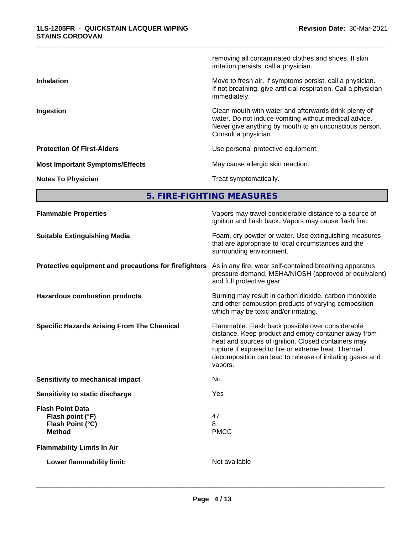|                                        | removing all contaminated clothes and shoes. If skin<br>irritation persists, call a physician.                                                                                                   |
|----------------------------------------|--------------------------------------------------------------------------------------------------------------------------------------------------------------------------------------------------|
| <b>Inhalation</b>                      | Move to fresh air. If symptoms persist, call a physician.<br>If not breathing, give artificial respiration. Call a physician<br>immediately.                                                     |
| Ingestion                              | Clean mouth with water and afterwards drink plenty of<br>water. Do not induce vomiting without medical advice.<br>Never give anything by mouth to an unconscious person.<br>Consult a physician. |
| <b>Protection Of First-Aiders</b>      | Use personal protective equipment.                                                                                                                                                               |
| <b>Most Important Symptoms/Effects</b> | May cause allergic skin reaction.                                                                                                                                                                |
| <b>Notes To Physician</b>              | Treat symptomatically.                                                                                                                                                                           |

**5. FIRE-FIGHTING MEASURES**

| <b>Flammable Properties</b>                                                      | Vapors may travel considerable distance to a source of<br>ignition and flash back. Vapors may cause flash fire.                                                                                                                                                                                |
|----------------------------------------------------------------------------------|------------------------------------------------------------------------------------------------------------------------------------------------------------------------------------------------------------------------------------------------------------------------------------------------|
| <b>Suitable Extinguishing Media</b>                                              | Foam, dry powder or water. Use extinguishing measures<br>that are appropriate to local circumstances and the<br>surrounding environment.                                                                                                                                                       |
| Protective equipment and precautions for firefighters                            | As in any fire, wear self-contained breathing apparatus<br>pressure-demand, MSHA/NIOSH (approved or equivalent)<br>and full protective gear.                                                                                                                                                   |
| <b>Hazardous combustion products</b>                                             | Burning may result in carbon dioxide, carbon monoxide<br>and other combustion products of varying composition<br>which may be toxic and/or irritating.                                                                                                                                         |
| <b>Specific Hazards Arising From The Chemical</b>                                | Flammable. Flash back possible over considerable<br>distance. Keep product and empty container away from<br>heat and sources of ignition. Closed containers may<br>rupture if exposed to fire or extreme heat. Thermal<br>decomposition can lead to release of irritating gases and<br>vapors. |
| <b>Sensitivity to mechanical impact</b>                                          | No                                                                                                                                                                                                                                                                                             |
| Sensitivity to static discharge                                                  | Yes                                                                                                                                                                                                                                                                                            |
| <b>Flash Point Data</b><br>Flash point (°F)<br>Flash Point (°C)<br><b>Method</b> | 47<br>8<br><b>PMCC</b>                                                                                                                                                                                                                                                                         |
| <b>Flammability Limits In Air</b>                                                |                                                                                                                                                                                                                                                                                                |
| Lower flammability limit:                                                        | Not available                                                                                                                                                                                                                                                                                  |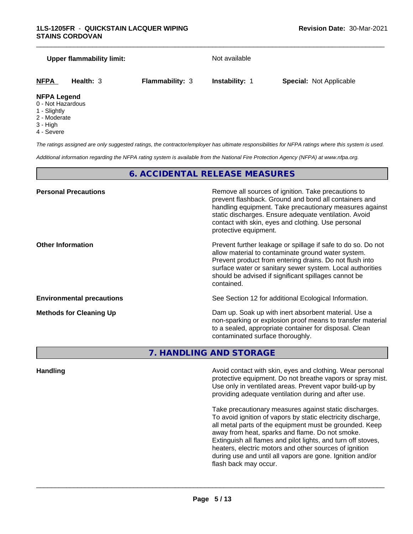#### **Upper flammability limit:** Not available

\_\_\_\_\_\_\_\_\_\_\_\_\_\_\_\_\_\_\_\_\_\_\_\_\_\_\_\_\_\_\_\_\_\_\_\_\_\_\_\_\_\_\_\_\_\_\_\_\_\_\_\_\_\_\_\_\_\_\_\_\_\_\_\_\_\_\_\_\_\_\_\_\_\_\_\_\_\_\_\_\_\_\_\_\_\_\_\_\_\_\_\_\_

```
NFPA Health: 3 Flammability: 3 Instability: 1 Special: Not Applicable
```
#### **NFPA Legend**

- 0 Not Hazardous
- 1 Slightly
- 2 Moderate
- 3 High
- 4 Severe

*The ratings assigned are only suggested ratings, the contractor/employer has ultimate responsibilities for NFPA ratings where this system is used.*

*Additional information regarding the NFPA rating system is available from the National Fire Protection Agency (NFPA) at www.nfpa.org.*

# **6. ACCIDENTAL RELEASE MEASURES**

| <b>Personal Precautions</b>      | Remove all sources of ignition. Take precautions to<br>prevent flashback. Ground and bond all containers and<br>handling equipment. Take precautionary measures against<br>static discharges. Ensure adequate ventilation. Avoid<br>contact with skin, eyes and clothing. Use personal<br>protective equipment.  |
|----------------------------------|------------------------------------------------------------------------------------------------------------------------------------------------------------------------------------------------------------------------------------------------------------------------------------------------------------------|
| <b>Other Information</b>         | Prevent further leakage or spillage if safe to do so. Do not<br>allow material to contaminate ground water system.<br>Prevent product from entering drains. Do not flush into<br>surface water or sanitary sewer system. Local authorities<br>should be advised if significant spillages cannot be<br>contained. |
| <b>Environmental precautions</b> | See Section 12 for additional Ecological Information.                                                                                                                                                                                                                                                            |
| <b>Methods for Cleaning Up</b>   | Dam up. Soak up with inert absorbent material. Use a<br>non-sparking or explosion proof means to transfer material<br>to a sealed, appropriate container for disposal. Clean<br>contaminated surface thoroughly.                                                                                                 |

# **7. HANDLING AND STORAGE**

**Handling Handling Avoid contact with skin, eyes and clothing. Wear personal** protective equipment. Do not breathe vapors or spray mist. Use only in ventilated areas. Prevent vapor build-up by providing adequate ventilation during and after use.

> Take precautionary measures against static discharges. To avoid ignition of vapors by static electricity discharge, all metal parts of the equipment must be grounded. Keep away from heat, sparks and flame. Do not smoke. Extinguish all flames and pilot lights, and turn off stoves, heaters, electric motors and other sources of ignition during use and until all vapors are gone. Ignition and/or flash back may occur.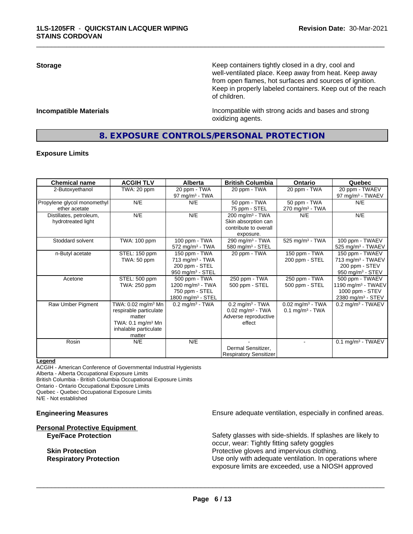**Storage Keep containers tightly closed in a dry, cool and get a dry and structure in a dry and structure in a dry and structure in a dry and structure in a dry and structure in a dry and structure in a dry and structure** well-ventilated place. Keep away from heat. Keep away from open flames, hot surfaces and sources of ignition. Keep in properly labeled containers. Keep out of the reach of children.

**Incompatible Materials Incompatible with strong acids and bases and strong** oxidizing agents.

# **8. EXPOSURE CONTROLS/PERSONAL PROTECTION**

\_\_\_\_\_\_\_\_\_\_\_\_\_\_\_\_\_\_\_\_\_\_\_\_\_\_\_\_\_\_\_\_\_\_\_\_\_\_\_\_\_\_\_\_\_\_\_\_\_\_\_\_\_\_\_\_\_\_\_\_\_\_\_\_\_\_\_\_\_\_\_\_\_\_\_\_\_\_\_\_\_\_\_\_\_\_\_\_\_\_\_\_\_

#### **Exposure Limits**

| <b>Chemical name</b>                          | <b>ACGIH TLV</b>                                                                                                                      | <b>Alberta</b>                                                                                   | <b>British Columbia</b>                                                                           | <b>Ontario</b>                                                  | Quebec                                                                                                |
|-----------------------------------------------|---------------------------------------------------------------------------------------------------------------------------------------|--------------------------------------------------------------------------------------------------|---------------------------------------------------------------------------------------------------|-----------------------------------------------------------------|-------------------------------------------------------------------------------------------------------|
| 2-Butoxyethanol                               | $\overline{\text{TW}}$ A: 20 ppm                                                                                                      | 20 ppm - TWA<br>97 mg/m $3$ - TWA                                                                | 20 ppm - TWA                                                                                      | 20 ppm - TWA                                                    | 20 ppm - TWAEV<br>97 mg/m <sup>3</sup> - TWAEV                                                        |
| Propylene glycol monomethyl<br>ether acetate  | N/E                                                                                                                                   | N/E                                                                                              | 50 ppm - TWA<br>75 ppm - STEL                                                                     | 50 ppm - TWA<br>$270$ mg/m <sup>3</sup> - TWA                   | N/E                                                                                                   |
| Distillates, petroleum,<br>hydrotreated light | N/E                                                                                                                                   | N/E                                                                                              | $200$ mg/m <sup>3</sup> - TWA<br>Skin absorption can<br>contribute to overall<br>exposure.        | N/E                                                             | N/E                                                                                                   |
| Stoddard solvent                              | TWA: 100 ppm                                                                                                                          | 100 ppm - TWA<br>$572$ mg/m <sup>3</sup> - TWA                                                   | 290 mg/m $3$ - TWA<br>580 mg/m $3 -$ STEL                                                         | 525 mg/m <sup>3</sup> - TWA                                     | 100 ppm - TWAEV<br>525 mg/m <sup>3</sup> - TWAEV                                                      |
| n-Butyl acetate                               | STEL: 150 ppm<br>TWA: 50 ppm                                                                                                          | 150 ppm - TWA<br>$713$ mg/m <sup>3</sup> - TWA<br>200 ppm - STEL<br>950 mg/m <sup>3</sup> - STEL | 20 ppm - TWA                                                                                      | 150 ppm - TWA<br>200 ppm - STEL                                 | 150 ppm - TWAEV<br>713 mg/m <sup>3</sup> - TWAEV<br>200 ppm - STEV<br>950 mg/m $3 -$ STEV             |
| Acetone                                       | STEL: 500 ppm<br>TWA: 250 ppm                                                                                                         | 500 ppm - TWA<br>1200 mg/m $3$ - TWA<br>750 ppm - STEL<br>1800 mg/m $3 -$ STEL                   | 250 ppm - TWA<br>500 ppm - STEL                                                                   | 250 ppm - TWA<br>500 ppm - STEL                                 | 500 ppm - TWAEV<br>1190 mg/m <sup>3</sup> - TWAEV<br>1000 ppm - STEV<br>2380 mg/m <sup>3</sup> - STEV |
| Raw Umber Pigment                             | TWA: 0.02 mg/m <sup>3</sup> Mn<br>respirable particulate<br>matter<br>TWA: $0.1 \text{ mg/m}^3$ Mn<br>inhalable particulate<br>matter | $0.2$ mg/m <sup>3</sup> - TWA                                                                    | $0.2$ mg/m <sup>3</sup> - TWA<br>$0.02$ mg/m <sup>3</sup> - TWA<br>Adverse reproductive<br>effect | $0.02$ mg/m <sup>3</sup> - TWA<br>$0.1$ mg/m <sup>3</sup> - TWA | $0.2$ mg/m <sup>3</sup> - TWAEV                                                                       |
| Rosin                                         | N/E                                                                                                                                   | N/E                                                                                              | Dermal Sensitizer,<br>Respiratory Sensitizer                                                      |                                                                 | $0.1$ mg/m <sup>3</sup> - TWAEV                                                                       |

#### **Legend**

ACGIH - American Conference of Governmental Industrial Hygienists

Alberta - Alberta Occupational Exposure Limits

British Columbia - British Columbia Occupational Exposure Limits

Ontario - Ontario Occupational Exposure Limits Quebec - Quebec Occupational Exposure Limits

N/E - Not established

# **Personal Protective Equipment**

**Engineering Measures Ensure adequate ventilation, especially in confined areas.** 

**Eye/Face Protection** Safety glasses with side-shields. If splashes are likely to occur, wear: Tightly fitting safety goggles **Skin Protection Protection Protective gloves and impervious clothing. Respiratory Protection Number 1** (Use only with adequate ventilation. In operations where exposure limits are exceeded, use a NIOSH approved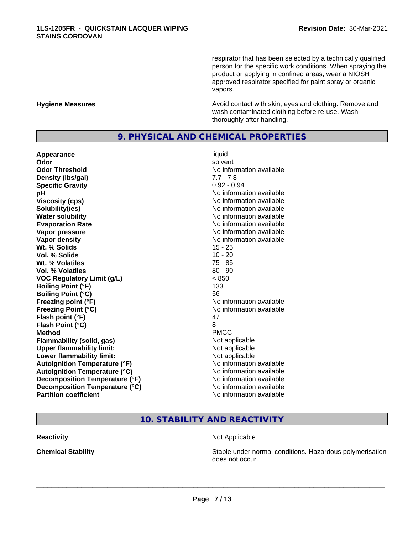respirator that has been selected by a technically qualified person for the specific work conditions. When spraying the product or applying in confined areas, wear a NIOSH approved respirator specified for paint spray or organic vapors.

#### **Hygiene Measures Avoid contact with skin, eyes and clothing. Remove and Avoid contact with skin, eyes and clothing. Remove and** wash contaminated clothing before re-use. Wash thoroughly after handling.

# **9. PHYSICAL AND CHEMICAL PROPERTIES**

\_\_\_\_\_\_\_\_\_\_\_\_\_\_\_\_\_\_\_\_\_\_\_\_\_\_\_\_\_\_\_\_\_\_\_\_\_\_\_\_\_\_\_\_\_\_\_\_\_\_\_\_\_\_\_\_\_\_\_\_\_\_\_\_\_\_\_\_\_\_\_\_\_\_\_\_\_\_\_\_\_\_\_\_\_\_\_\_\_\_\_\_\_

**Appearance** liquid **Odor** solvent **Odor Threshold** No information available **Density (lbs/gal)** 7.7 - 7.8 **Specific Gravity** 0.92 - 0.94 **pH** No information available **Viscosity (cps)** No information available in the Viscosity (cps) **Solubility(ies)** No information available in the solution of the solution of the solution available in the solution of the solution of the solution of the solution of the solution of the solution of the solution of the so **Water solubility** No information available **Evaporation Rate No information available No information available Vapor pressure** No information available **Vapor density Vapor density No information available Wt. % Solids** 15 - 25 **Vol. % Solids** 10 - 20 **Wt. % Volatiles** 75 - 85 **Vol. % Volatiles** 80 - 90 **VOC Regulatory Limit (g/L)** < 850 **Boiling Point (°F)** 133 **Boiling Point (°C)** 56 **Freezing point (°F)** The state of the state of the Noinformation available **Freezing Point (°C)** No information available **Flash point (°F)** 47 **Flash Point (°C)** 8 **Method** PMCC **Flammability (solid, gas)** Not applicable **Upper flammability limit:**<br> **Lower flammability limit:** Not applicable Not applicable **Lower flammability limit:**<br> **Autoignition Temperature (°F)** Not applicable available and the Muslim Muslim Comments and Muslim Automation and the Muslim Comments and Muslim Comments and Muslim Comments and Muslim Comments **Autoignition Temperature (°F)**<br> **Autoignition Temperature (°C)** No information available **Autoignition Temperature (°C) Decomposition Temperature (°F)** No information available **Decomposition Temperature (°C)** No information available<br> **Partition coefficient Partition available** 

**No information available** 

# **10. STABILITY AND REACTIVITY**

#### **Reactivity** Not Applicable

 $\overline{\phantom{a}}$  ,  $\overline{\phantom{a}}$  ,  $\overline{\phantom{a}}$  ,  $\overline{\phantom{a}}$  ,  $\overline{\phantom{a}}$  ,  $\overline{\phantom{a}}$  ,  $\overline{\phantom{a}}$  ,  $\overline{\phantom{a}}$  ,  $\overline{\phantom{a}}$  ,  $\overline{\phantom{a}}$  ,  $\overline{\phantom{a}}$  ,  $\overline{\phantom{a}}$  ,  $\overline{\phantom{a}}$  ,  $\overline{\phantom{a}}$  ,  $\overline{\phantom{a}}$  ,  $\overline{\phantom{a}}$ 

**Chemical Stability Stability** Stable under normal conditions. Hazardous polymerisation does not occur.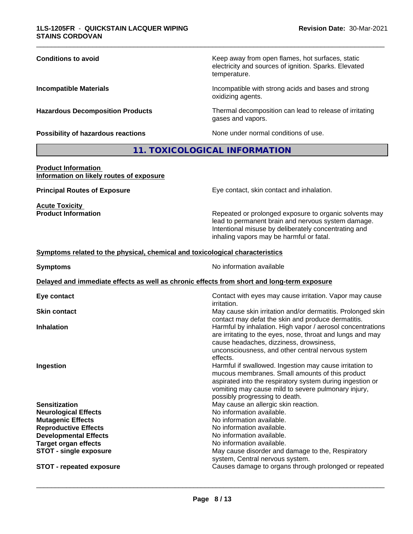| <b>Conditions to avoid</b>              | Keep away from open flames, hot surfaces, static<br>electricity and sources of ignition. Sparks. Elevated<br>temperature. |
|-----------------------------------------|---------------------------------------------------------------------------------------------------------------------------|
| <b>Incompatible Materials</b>           | Incompatible with strong acids and bases and strong<br>oxidizing agents.                                                  |
| <b>Hazardous Decomposition Products</b> | Thermal decomposition can lead to release of irritating<br>gases and vapors.                                              |
| Possibility of hazardous reactions      | None under normal conditions of use.                                                                                      |

# **11. TOXICOLOGICAL INFORMATION**

#### **Product Information Information on likely routes of exposure**

**Acute Toxicity<br>Product Information** 

**Principal Routes of Exposure** Eye contact, skin contact and inhalation.

Repeated or prolonged exposure to organic solvents may lead to permanent brain and nervous system damage. Intentional misuse by deliberately concentrating and inhaling vapors may be harmful or fatal.

#### **<u>Symptoms related to the physical, chemical and toxicological characteristics</u>**

| <b>Symptoms</b>                                                                            | No information available                                                                                                                                                                                                                                         |
|--------------------------------------------------------------------------------------------|------------------------------------------------------------------------------------------------------------------------------------------------------------------------------------------------------------------------------------------------------------------|
| Delayed and immediate effects as well as chronic effects from short and long-term exposure |                                                                                                                                                                                                                                                                  |
| Eye contact                                                                                | Contact with eyes may cause irritation. Vapor may cause<br>irritation.                                                                                                                                                                                           |
| <b>Skin contact</b>                                                                        | May cause skin irritation and/or dermatitis. Prolonged skin<br>contact may defat the skin and produce dermatitis.                                                                                                                                                |
| <b>Inhalation</b>                                                                          | Harmful by inhalation. High vapor / aerosol concentrations<br>are irritating to the eyes, nose, throat and lungs and may<br>cause headaches, dizziness, drowsiness,<br>unconsciousness, and other central nervous system<br>effects.                             |
| Ingestion                                                                                  | Harmful if swallowed. Ingestion may cause irritation to<br>mucous membranes. Small amounts of this product<br>aspirated into the respiratory system during ingestion or<br>vomiting may cause mild to severe pulmonary injury,<br>possibly progressing to death. |
| <b>Sensitization</b>                                                                       | May cause an allergic skin reaction.                                                                                                                                                                                                                             |
| <b>Neurological Effects</b>                                                                | No information available.                                                                                                                                                                                                                                        |
| <b>Mutagenic Effects</b>                                                                   | No information available.                                                                                                                                                                                                                                        |
| <b>Reproductive Effects</b>                                                                | No information available.                                                                                                                                                                                                                                        |
| <b>Developmental Effects</b>                                                               | No information available.                                                                                                                                                                                                                                        |
| <b>Target organ effects</b><br><b>STOT - single exposure</b>                               | No information available.<br>May cause disorder and damage to the, Respiratory<br>system, Central nervous system.                                                                                                                                                |
| <b>STOT - repeated exposure</b>                                                            | Causes damage to organs through prolonged or repeated                                                                                                                                                                                                            |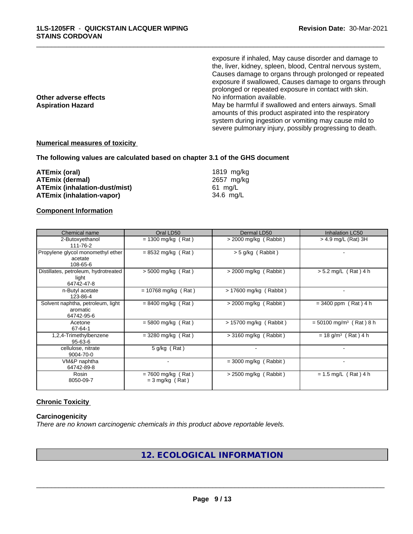exposure if inhaled, May cause disorder and damage to the, liver, kidney, spleen, blood, Central nervous system, Causes damage to organs through prolonged or repeated exposure if swallowed, Causes damage to organs through prolonged or repeated exposure in contact with skin. **Other adverse effects No information available.** Aspiration Hazard **Aspiration Hazard** May be harmful if swallowed and enters airways. Small amounts of this product aspirated into the respiratory system during ingestion or vomiting may cause mild to severe pulmonary injury, possibly progressing to death.

\_\_\_\_\_\_\_\_\_\_\_\_\_\_\_\_\_\_\_\_\_\_\_\_\_\_\_\_\_\_\_\_\_\_\_\_\_\_\_\_\_\_\_\_\_\_\_\_\_\_\_\_\_\_\_\_\_\_\_\_\_\_\_\_\_\_\_\_\_\_\_\_\_\_\_\_\_\_\_\_\_\_\_\_\_\_\_\_\_\_\_\_\_

#### **Numerical measures of toxicity**

**The following values are calculated based on chapter 3.1 of the GHS document**

| ATEmix (oral)                 | 1819 ma/ka |
|-------------------------------|------------|
| ATEmix (dermal)               | 2657 ma/ka |
| ATEmix (inhalation-dust/mist) | 61 ma/L    |
| ATEmix (inhalation-vapor)     | 34.6 ma/L  |

#### **Component Information**

| Chemical name                                               | Oral LD50                                 | Dermal LD50             | Inhalation LC50                       |
|-------------------------------------------------------------|-------------------------------------------|-------------------------|---------------------------------------|
| 2-Butoxyethanol<br>111-76-2                                 | $= 1300$ mg/kg (Rat)                      | $>$ 2000 mg/kg (Rabbit) | $>$ 4.9 mg/L (Rat) 3H                 |
| Propylene glycol monomethyl ether<br>acetate<br>108-65-6    | $= 8532$ mg/kg (Rat)                      | > 5 g/kg (Rabbit)       |                                       |
| Distillates, petroleum, hydrotreated<br>light<br>64742-47-8 | $> 5000$ mg/kg (Rat)                      | $>$ 2000 mg/kg (Rabbit) | $> 5.2$ mg/L (Rat) 4 h                |
| n-Butyl acetate<br>123-86-4                                 | $= 10768$ mg/kg (Rat)                     | > 17600 mg/kg (Rabbit)  |                                       |
| Solvent naphtha, petroleum, light<br>aromatic<br>64742-95-6 | $= 8400$ mg/kg (Rat)                      | $>$ 2000 mg/kg (Rabbit) | $= 3400$ ppm (Rat) 4 h                |
| Acetone<br>67-64-1                                          | $= 5800$ mg/kg (Rat)                      | > 15700 mg/kg (Rabbit)  | $= 50100$ mg/m <sup>3</sup> (Rat) 8 h |
| 1,2,4-Trimethylbenzene<br>95-63-6                           | $=$ 3280 mg/kg (Rat)                      | $>$ 3160 mg/kg (Rabbit) | $= 18$ g/m <sup>3</sup> (Rat) 4 h     |
| cellulose, nitrate<br>9004-70-0                             | $5$ g/kg (Rat)                            |                         |                                       |
| VM&P naphtha<br>64742-89-8                                  |                                           | $=$ 3000 mg/kg (Rabbit) |                                       |
| Rosin<br>8050-09-7                                          | $= 7600$ mg/kg (Rat)<br>$=$ 3 mg/kg (Rat) | $>$ 2500 mg/kg (Rabbit) | $= 1.5$ mg/L (Rat) 4 h                |

# **Chronic Toxicity**

#### **Carcinogenicity**

*There are no known carcinogenic chemicals in this product above reportable levels.*

**12. ECOLOGICAL INFORMATION**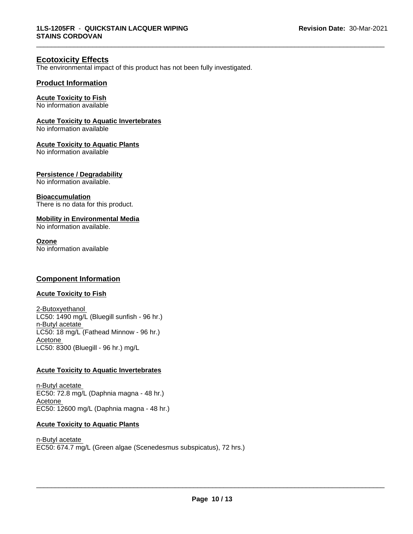# **Ecotoxicity Effects**

The environmental impact of this product has not been fully investigated.

### **Product Information**

### **Acute Toxicity to Fish**

No information available

#### **Acute Toxicity to Aquatic Invertebrates**

No information available

#### **Acute Toxicity to Aquatic Plants**

No information available

#### **Persistence / Degradability**

No information available.

#### **Bioaccumulation**

There is no data for this product.

### **Mobility in Environmental Media**

No information available.

#### **Ozone**

No information available

# **Component Information**

# **Acute Toxicity to Fish**

2-Butoxyethanol LC50: 1490 mg/L (Bluegill sunfish - 96 hr.) n-Butyl acetate LC50: 18 mg/L (Fathead Minnow - 96 hr.) Acetone LC50: 8300 (Bluegill - 96 hr.) mg/L

#### **Acute Toxicity to Aquatic Invertebrates**

n-Butyl acetate EC50: 72.8 mg/L (Daphnia magna - 48 hr.) Acetone EC50: 12600 mg/L (Daphnia magna - 48 hr.)

#### **Acute Toxicity to Aquatic Plants**

n-Butyl acetate EC50: 674.7 mg/L (Green algae (Scenedesmus subspicatus), 72 hrs.)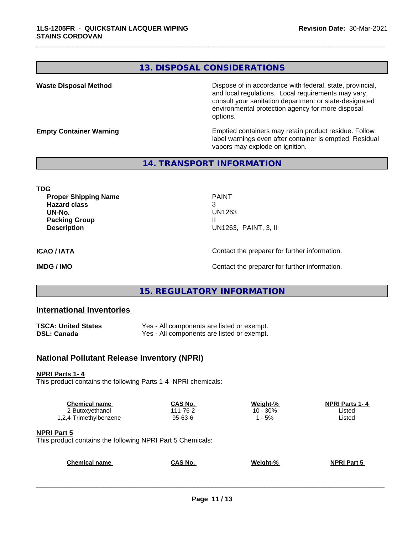# **13. DISPOSAL CONSIDERATIONS**

\_\_\_\_\_\_\_\_\_\_\_\_\_\_\_\_\_\_\_\_\_\_\_\_\_\_\_\_\_\_\_\_\_\_\_\_\_\_\_\_\_\_\_\_\_\_\_\_\_\_\_\_\_\_\_\_\_\_\_\_\_\_\_\_\_\_\_\_\_\_\_\_\_\_\_\_\_\_\_\_\_\_\_\_\_\_\_\_\_\_\_\_\_

**Waste Disposal Method** Dispose of in accordance with federal, state, provincial, and local regulations. Local requirements may vary, consult your sanitation department or state-designated environmental protection agency for more disposal options.

**Empty Container Warning <b>Emptied** Containers may retain product residue. Follow label warnings even after container is emptied. Residual vapors may explode on ignition.

**14. TRANSPORT INFORMATION**

**TDG**

**Proper Shipping Name** PAINT **Hazard class** 3 **UN-No.** UN1263 **Packing Group III Description** UN1263, PAINT, 3, II

**ICAO / IATA** Contact the preparer for further information.

**IMDG / IMO Contact the preparer for further information.** 

# **15. REGULATORY INFORMATION**

## **International Inventories**

| <b>TSCA: United States</b> | Yes - All components are listed or exempt. |
|----------------------------|--------------------------------------------|
| DSL: Canada                | Yes - All components are listed or exempt. |

# **National Pollutant Release Inventory (NPRI)**

#### **NPRI Parts 1- 4**

This product contains the following Parts 1-4 NPRI chemicals:

| <b>Chemical name</b>   | CAS No.  | Weight-%      | <b>NPRI Parts 1-4</b> |
|------------------------|----------|---------------|-----------------------|
| 2-Butoxyethanol        | 111-76-2 | 30%<br>$10 -$ | Listed                |
| 1,2,4-Trimethylbenzene | 95-63-6  | $-5%$         | Listed                |
|                        |          |               |                       |

#### **NPRI Part 5**

This product contains the following NPRI Part 5 Chemicals:

| <b>Chemical name</b> | <b>CAS No.</b> | Weiaht-% | <b>NPRI Part 5</b> |
|----------------------|----------------|----------|--------------------|
|                      |                |          |                    |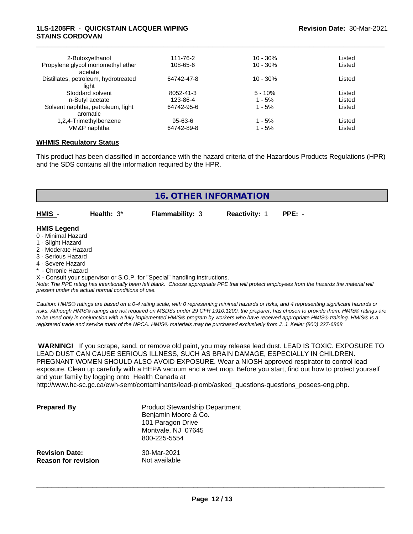### **1LS-1205FR** - **QUICKSTAIN LACQUER WIPING STAINS CORDOVAN**

| 2-Butoxyethanol                      | 111-76-2      | $10 - 30%$  | Listed |  |
|--------------------------------------|---------------|-------------|--------|--|
| Propylene glycol monomethyl ether    | 108-65-6      | $10 - 30%$  | Listed |  |
| acetate                              |               |             |        |  |
| Distillates, petroleum, hydrotreated | 64742-47-8    | $10 - 30\%$ | Listed |  |
| light                                |               |             |        |  |
| Stoddard solvent                     | 8052-41-3     | $5 - 10%$   | Listed |  |
| n-Butyl acetate                      | 123-86-4      | $1 - 5%$    | Listed |  |
| Solvent naphtha, petroleum, light    | 64742-95-6    | $1 - 5%$    | Listed |  |
| aromatic                             |               |             |        |  |
| 1,2,4-Trimethylbenzene               | $95 - 63 - 6$ | $1 - 5%$    | Listed |  |
| VM&P naphtha                         | 64742-89-8    | 1 - 5%      | Listed |  |
|                                      |               |             |        |  |

\_\_\_\_\_\_\_\_\_\_\_\_\_\_\_\_\_\_\_\_\_\_\_\_\_\_\_\_\_\_\_\_\_\_\_\_\_\_\_\_\_\_\_\_\_\_\_\_\_\_\_\_\_\_\_\_\_\_\_\_\_\_\_\_\_\_\_\_\_\_\_\_\_\_\_\_\_\_\_\_\_\_\_\_\_\_\_\_\_\_\_\_\_

#### **WHMIS Regulatory Status**

This product has been classified in accordance with the hazard criteria of the Hazardous Products Regulations (HPR) and the SDS contains all the information required by the HPR.

| <b>16. OTHER INFORMATION</b>                                                                                                                          |               |                        |                      |          |
|-------------------------------------------------------------------------------------------------------------------------------------------------------|---------------|------------------------|----------------------|----------|
| HMIS -                                                                                                                                                | Health: $3^*$ | <b>Flammability: 3</b> | <b>Reactivity: 1</b> | $PPE: -$ |
| <b>HMIS Legend</b><br>0 - Minimal Hazard<br>1 - Slight Hazard<br>2 - Moderate Hazard<br>3 - Serious Hazard<br>4 - Severe Hazard<br>* - Chronic Hazard |               |                        |                      |          |

X - Consult your supervisor or S.O.P. for "Special" handling instructions.

*Note: The PPE rating has intentionally been left blank. Choose appropriate PPE that will protect employees from the hazards the material will present under the actual normal conditions of use.*

*Caution: HMISÒ ratings are based on a 0-4 rating scale, with 0 representing minimal hazards or risks, and 4 representing significant hazards or risks. Although HMISÒ ratings are not required on MSDSs under 29 CFR 1910.1200, the preparer, has chosen to provide them. HMISÒ ratings are to be used only in conjunction with a fully implemented HMISÒ program by workers who have received appropriate HMISÒ training. HMISÒ is a registered trade and service mark of the NPCA. HMISÒ materials may be purchased exclusively from J. J. Keller (800) 327-6868.*

 **WARNING!** If you scrape, sand, or remove old paint, you may release lead dust. LEAD IS TOXIC. EXPOSURE TO LEAD DUST CAN CAUSE SERIOUS ILLNESS, SUCH AS BRAIN DAMAGE, ESPECIALLY IN CHILDREN. PREGNANT WOMEN SHOULD ALSO AVOID EXPOSURE. Wear a NIOSH approved respirator to control lead exposure. Clean up carefully with a HEPA vacuum and a wet mop. Before you start, find out how to protect yourself and your family by logging onto Health Canada at

http://www.hc-sc.gc.ca/ewh-semt/contaminants/lead-plomb/asked\_questions-questions\_posees-eng.php.

| <b>Prepared By</b>                                  | <b>Product Stewardship Department</b><br>Benjamin Moore & Co.<br>101 Paragon Drive<br>Montvale, NJ 07645<br>800-225-5554 |  |
|-----------------------------------------------------|--------------------------------------------------------------------------------------------------------------------------|--|
| <b>Revision Date:</b><br><b>Reason for revision</b> | 30-Mar-2021<br>Not available                                                                                             |  |